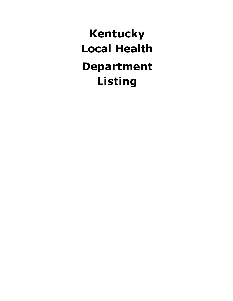**Kentucky Local Health Department Listing**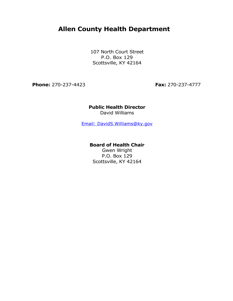# **Allen County Health Department**

107 North Court Street P.O. Box 129 Scottsville, KY 42164

**Phone:** 270-237-4423 **Fax:** 270-237-4777

# **Public Health Director** David Williams

[Email: DavidS.Williams@ky.gov](mailto:DavidS.Williams@ky.gov)

### **Board of Health Chair**

Gwen Wright P.O. Box 129 Scottsville, KY 42164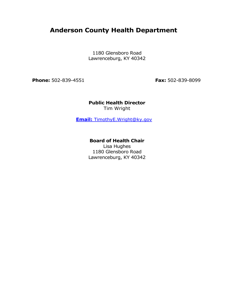# **Anderson County Health Department**

1180 Glensboro Road Lawrenceburg, KY 40342

**Phone:** 502-839-4551 **Fax:** 502-839-8099

**Public Health Director** Tim Wright

**Email:** [TimothyE.Wright@ky.gov](mailto:TimothyE.Wright@ky.gov)

### **Board of Health Chair**

Lisa Hughes 1180 Glensboro Road Lawrenceburg, KY 40342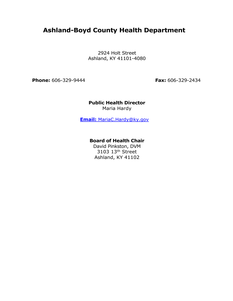# **Ashland-Boyd County Health Department**

2924 Holt Street Ashland, KY 41101-4080

**Phone:** 606-329-9444 **Fax:** 606-329-2434

**Public Health Director** Maria Hardy

**Email:** [MariaC.Hardy@ky.gov](mailto:MariaC.Hardy@ky.gov)

# **Board of Health Chair**

David Pinkston, DVM 3103 13<sup>th</sup> Street Ashland, KY 41102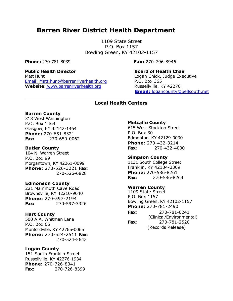# **Barren River District Health Department**

1109 State Street P.O. Box 1157 Bowling Green, KY 42102-1157

**Phone:** 270-781-8039 **Fax:** 270-796-8946

**Public Health Director Board of Health Chair** Matt Hunt **Matt Hunt** 2008 **Matt Hunt** 2008 **Logan Chick, Judge Executive** [Email: Matt.hunt@barrenriverhealth.org](mailto:Matt.hunt@barrenriverhealth.org) P.O. Box 365 Website: [www.barrenriverhealth.org](http://www.barrenriverhealth.org/) Russellville, KY 42276

**Email:** [logancounty@bellsouth.net](mailto:logancounty@bellsouth.net)

### **Local Health Centers**

#### **Barren County**

318 West Washington P.O. Box 1464 Glasgow, KY 42142-1464 **Phone:** 270-651-8321 **Fax:** 270-659-0062

#### **Butler County**

104 N. Warren Street P.O. Box 99 Morgantown, KY 42261-0099 **Phone:** 270-526-3221 **Fax:** 270-526-6828

#### **Edmonson County**

221 Mammoth Cave Road Brownsville, KY 42210-9040 **Phone:** 270-597-2194 **Fax:** 270-597-3326

#### **Hart County**

500 A.A. Whitman Lane P.O. Box 65 Munfordville, KY 42765-0065 **Phone:** 270-524-2511 **Fax:** 270-524-5642

#### **Logan County**

151 South Franklin Street Russellville, KY 42276-1934 **Phone:** 270-726-8341 **Fax:** 270-726-8399

#### **Metcalfe County**

615 West Stockton Street P.O. Box 30 Edmonton, KY 42129-0030 **Phone:** 270-432-3214 **Fax:** 270-432-4000

**Simpson County** 1131 South College Street Franklin, KY 42134-2309 **Phone:** 270-586-8261 **Fax:** 270-586-8264

#### **Warren County**

1109 State Street P.O. Box 1157 Bowling Green, KY 42102-1157 **Phone:** 270-781-2490 **Fax:** 270-781-0241

(Clinical/Environmental) **Fax:** 270-781-2520

(Records Release)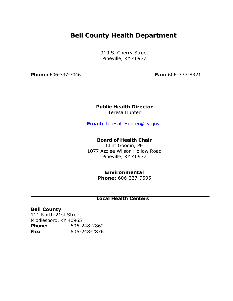# **Bell County Health Department**

310 S. Cherry Street Pineville, KY 40977

**Phone:** 606-337-7046 **Fax:** 606-337-8321

#### **Public Health Director** Teresa Hunter

**Email:** [TeresaL.Hunter@ky.gov](mailto:TeresaL.Hunter@ky.gov)

### **Board of Health Chair**

Clint Goodin, PE 1077 Azzlee Wilson Hollow Road Pineville, KY 40977

# **Environmental**

**Phone:** 606-337-9595

# **Local Health Centers**

# **Bell County**

111 North 21st Street Middlesboro, KY 40965 **Phone:** 606-248-2862 **Fax:** 606-248-2876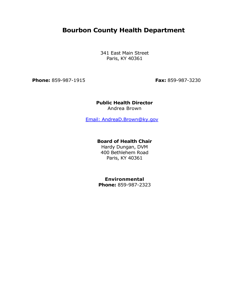# **Bourbon County Health Department**

341 East Main Street Paris, KY 40361

**Phone:** 859-987-1915 **Fax:** 859-987-3230

### **Public Health Director** Andrea Brown

[Email: AndreaD.Brown@ky.gov](mailto:AndreaD.Brown@ky.gov)

### **Board of Health Chair**

Hardy Dungan, DVM 400 Bethlehem Road Paris, KY 40361

# **Environmental**

**Phone:** 859-987-2323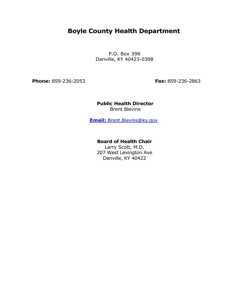# **Boyle County Health Department**

P.O. Box 398 Danville, KY 40423-0398

**Phone:** 859-236-2053 **Fax:** 859-236-2863

### **Public Health Director** Brent Blevins

**Email:** [Brent.Blevins@ky.gov](mailto:Brent.Blevins@ky.gov)

### **Board of Health Chair**

Larry Scott, M.D. 207 West Lexington Ave Danville, KY 40422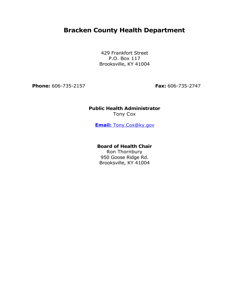# **Bracken County Health Department**

429 Frankfort Street P.O. Box 117 Brooksville, KY 41004

**Phone:** 606-735-2157 **Fax:** 606-735-2747

# **Public Health Administrator** Tony Cox

**Email:** [Tony.Cox@ky.gov](mailto:Tony.Cox@ky.gov)

# **Board of Health Chair**

Ron Thornbury 950 Goose Ridge Rd. Brooksville, KY 41004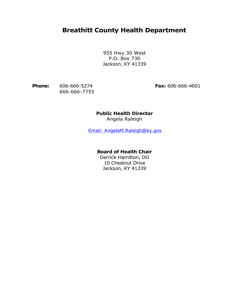# **Breathitt County Health Department**

955 Hwy 30 West P.O. Box 730 Jackson, KY 41339

**Phone:** 606-666-5274 **Fax:** 606-666-4601 606-666-7755

# **Public Health Director**

Angela Raleigh

[Email: AngelaM.Raleigh@ky.gov](mailto:AngelaM.Raleigh@ky.gov)

# **Board of Health Chair**

Derrick Hamilton, DO 10 Chestnut Drive Jackson, KY 41339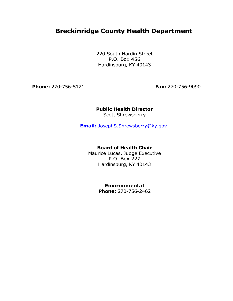# **Breckinridge County Health Department**

220 South Hardin Street P.O. Box 456 Hardinsburg, KY 40143

**Phone:** 270-756-5121 **Fax:** 270-756-9090

# **Public Health Director** Scott Shrewsberry

**Email:** [JosephS.Shrewsberry@ky.gov](mailto:JosephS.Shrewsberry@ky.gov)

### **Board of Health Chair**

Maurice Lucas, Judge Executive P.O. Box 227 Hardinsburg, KY 40143

# **Environmental**

**Phone:** 270-756-2462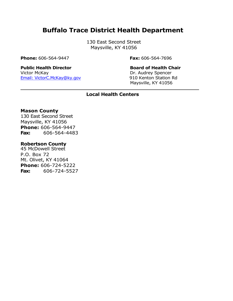# **Buffalo Trace District Health Department**

130 East Second Street Maysville, KY 41056

**Phone:** 606-564-9447 **Fax:** 606-564-7696

# **Public Health Director Board of Health Chair** Victor McKay Dr. Audrey Spencer

[Email: VictorC.McKay@ky.gov](mailto:VictorC.McKay@ky.gov) 910 Kenton Station Rd Maysville, KY 41056

# **Local Health Centers**

### **Mason County**

130 East Second Street Maysville, KY 41056 **Phone:** 606-564-9447 **Fax:** 606-564-4483

### **Robertson County**

45 McDowell Street P.O. Box 72 Mt. Olivet, KY 41064 **Phone:** 606-724-5222 **Fax:** 606-724-5527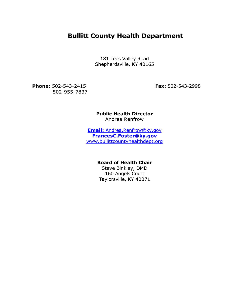# **Bullitt County Health Department**

181 Lees Valley Road Shepherdsville, KY 40165

**Phone:** 502-543-2415 **Fax:** 502-543-2998 502-955-7837

**Public Health Director** Andrea Renfrow

**Email:** [Andrea.Renfrow@ky.gov](mailto:Andrea.Renfrow@ky.gov) **[FrancesC.Foster@ky.gov](mailto:FrancesC.Foster@ky.gov)** [www.bullittcountyhealthdept.org](http://www.bullittcountyhealthdept.org/)

# **Board of Health Chair**

Steve Binkley, DMD 160 Angels Court Taylorsville, KY 40071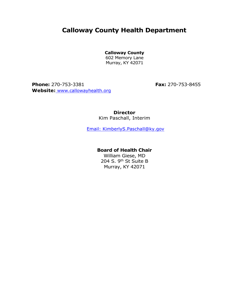# **Calloway County Health Department**

**Calloway County**

602 Memory Lane Murray, KY 42071

**Phone:** 270-753-3381 **Fax:** 270-753-8455 **Website:** [www.callowayhealth.org](http://www.callowayhealth.org/)

**Director** Kim Paschall, Interim

[Email: KimberlyS.Paschall@ky.gov](mailto:KimberlyS.Paschall@ky.gov)

### **Board of Health Chair**

William Giese, MD 204 S. 9<sup>th</sup> St Suite B Murray, KY 42071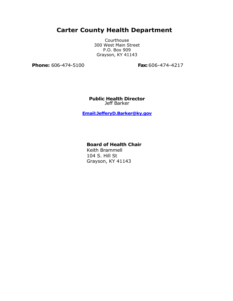# **Carter County Health Department**

Courthouse 300 West Main Street P.O. Box 909 Grayson, KY 41143

**Phone:** 606-474-5100 **Fax:** 606-474-4217

**Public Health Director** Jeff Barker

**[Email:JefferyD.Barker@ky.gov](mailto:JeffreyD.Barker@ky.gov@ky.gov)**

# **Board of Health Chair**

Keith Brammell 104 S. Hill St Grayson, KY 41143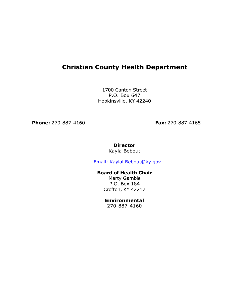# **Christian County Health Department**

1700 Canton Street P.O. Box 647 Hopkinsville, KY 42240

**Phone:** 270-887-4160 **Fax:** 270-887-4165

### **Director** Kayla Bebout

[Email: Kaylal.Bebout@ky.gov](mailto:kaylal.bebout@ky.gov)

# **Board of Health Chair**

Marty Gamble P.O. Box 184 Crofton, KY 42217

# **Environmental**

270-887-4160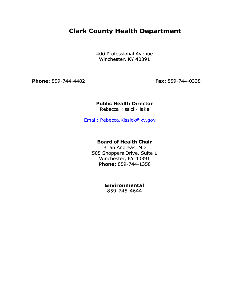# **Clark County Health Department**

400 Professional Avenue Winchester, KY 40391

**Phone:** 859-744-4482 **Fax:** 859-744-0338

# **Public Health Director**

Rebecca Kissick-Hake

[Email: Rebecca.Kissick@ky.gov](mailto:Rebecca.Kissick@ky.gov)

# **Board of Health Chair**

Brian Andreas, MD 505 Shoppers Drive, Suite 1 Winchester, KY 40391 **Phone:** 859-744-1358

# **Environmental**

859-745-4644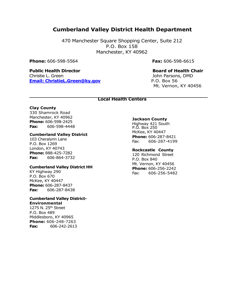# **Cumberland Valley District Health Department**

470 Manchester Square Shopping Center, Suite 212 P.O. Box 158 Manchester, KY 40962

**Phone:** 606-598-5564 **Fax:** 606-598-6615

### **Public Health Director Board of Health Chair** Christie L. Green John Parsons, DMD **[Email: ChristieL.Green@ky.gov](mailto:ChristieL.Green@ky.gov)** P.O. Box 56

Mt. Vernon, KY 40456

#### **Local Health Centers**

#### **Clay County**

330 Shamrock Road Manchester, KY 40962 **Phone:** 606-598-2425 **Fax:** 606-598-4448

#### **Cumberland Valley District**

103 Cheralynn Lane P.O. Box 1269 London, KY 40743 **Phone:** 888-425-7282 **Fax:** 606-864-3732

#### **Cumberland Valley District HH**

KY Highway 290 P.O. Box 670 McKee, KY 40447 **Phone:** 606-287-8437 **Fax:** 606-287-8438

#### **Cumberland Valley District-Environmental**

1275 N. 25th Street P.O. Box 489 Middlesboro, KY 40965 **Phone:** 606-248-7263 **Fax:** 606-242-2613

#### **Jackson County**

Highway 421 South P.O. Box 250 McKee, KY 40447 **Phone:** 606-287-8421 Fax: 606-287-4199

#### **Rockcastle County**

120 Richmond Street P.O. Box 840 Mt. Vernon, KY 40456 **Phone:** 606-256-2242 Fax: 606-256-5482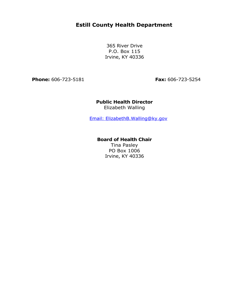# **Estill County Health Department**

365 River Drive P.O. Box 115 Irvine, KY 40336

**Phone:** 606-723-5181 **Fax:** 606-723-5254

# **Public Health Director** Elizabeth Walling

[Email: ElizabethB.Walling@ky.gov](mailto:ElizabethB.Walling@ky.gov)

# **Board of Health Chair**

Tina Pasley PO Box 1006 Irvine, KY 40336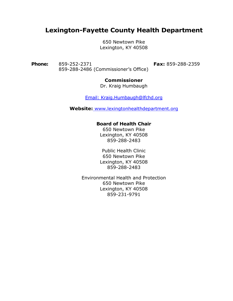# **Lexington-Fayette County Health Department**

650 Newtown Pike Lexington, KY 40508

**Phone:** 859-252-2371 **Fax:** 859-288-2359 859-288-2486 (Commissioner's Office)

# **Commissioner**

Dr. Kraig Humbaugh

[Email: Kraig.Humbaugh@lfchd.org](mailto:RiceC.Leach@lfchd.org)

**Website:** [www.lexingtonhealthdepartment.org](http://www.lexingtonhealthdepartment.org/)

# **Board of Health Chair**

650 Newtown Pike Lexington, KY 40508 859-288-2483

Public Health Clinic 650 Newtown Pike Lexington, KY 40508 859-288-2483

Environmental Health and Protection 650 Newtown Pike Lexington, KY 40508 859-231-9791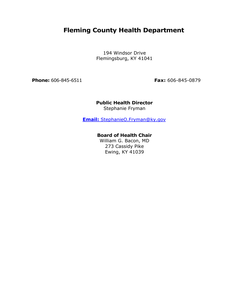# **Fleming County Health Department**

194 Windsor Drive Flemingsburg, KY 41041

**Phone:** 606-845-6511 **Fax:** 606-845-0879

# **Public Health Director** Stephanie Fryman

**Email:** [StephanieO.Fryman@ky.gov](mailto:StephanieO.Fryman@ky.gov)

# **Board of Health Chair**

William G. Bacon, MD 273 Cassidy Pike Ewing, KY 41039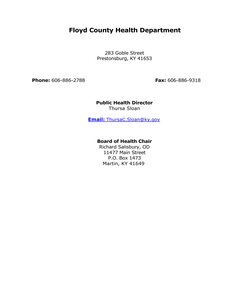# **Floyd County Health Department**

283 Goble Street Prestonsburg, KY 41653

**Phone:** 606-886-2788 **Fax:** 606-886-9318

### **Public Health Director** Thursa Sloan

**Email:** [ThursaC.Sloan@ky.gov](mailto:ThursaC.Sloan@ky.gov)

# **Board of Health Chair**

Richard Salisbury, OD 11477 Main Street P.O. Box 1473 Martin, KY 41649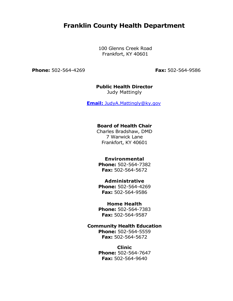# **Franklin County Health Department**

100 Glenns Creek Road Frankfort, KY 40601

**Phone:** 502-564-4269 **Fax:** 502-564-9586

# **Public Health Director**

Judy Mattingly

**Email:** [JudyA.Mattingly@ky.gov](mailto:JudyA.Mattingly@ky.gov)

### **Board of Health Chair**

Charles Bradshaw, DMD 7 Warwick Lane Frankfort, KY 40601

# **Environmental**

**Phone:** 502-564-7382 **Fax:** 502-564-5672

### **Administrative**

**Phone:** 502-564-4269 **Fax:** 502-564-9586

### **Home Health**

**Phone:** 502-564-7383 **Fax:** 502-564-9587

# **Community Health Education**

**Phone:** 502-564-5559 **Fax:** 502-564-5672

### **Clinic**

**Phone:** 502-564-7647 **Fax:** 502-564-9640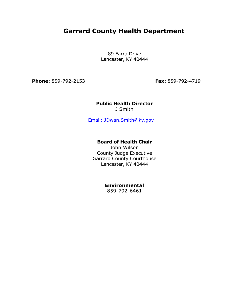# **Garrard County Health Department**

89 Farra Drive Lancaster, KY 40444

**Phone:** 859-792-2153 **Fax:** 859-792-4719

#### **Public Health Director** J Smith

[Email: JDwan.Smith@ky.gov](mailto:JDwan.Smith@ky.gov)

### **Board of Health Chair**

John Wilson County Judge Executive Garrard County Courthouse Lancaster, KY 40444

### **Environmental**

859-792-6461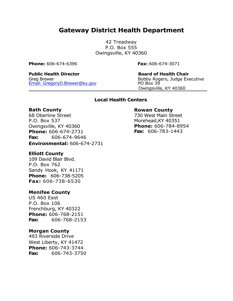# **Gateway District Health Department**

42 Treadway P.O. Box 555 Owingsville, KY 40360

**Phone:** 606-674-6396 **Fax:** 606-674-3071

### **Public Health Director Board of Health Chair** Greg Brewer<br>
Email: GregoryD.Brewer@ky.gov<br>
PO Box 39 Email: GregoryD.Brewer@ky.gov

Owingsville, KY 40360

# **Local Health Centers**

# **Bath County**

68 Oberline Street P.O. Box 537 Owingsville, KY 40360 **Phone:** 606-674-2731 **Fax:** 606-674-9646 **Environmental:** 606-674-2731

# **Elliott County**

109 David Blair Blvd. P.O. Box 762 Sandy Hook, KY 41171 **Phone:** 606-738-5205 **Fax:** 606-738-6530

# **Menifee County**

US 460 East P.O. Box 106 Frenchburg, KY 40322 **Phone:** 606-768-2151 **Fax:** 606-768-2153

# **Morgan County**

493 Riverside Drive West Liberty, KY 41472 **Phone:** 606-743-3744 **Fax:** 606-743-3750

### **Rowan County**

730 West Main Street Morehead,KY 40351 **Phone:** 606-784-8954 **Fax:** 606-783-1443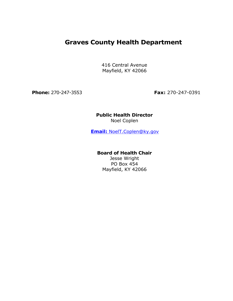# **Graves County Health Department**

416 Central Avenue Mayfield, KY 42066

**Phone:** 270-247-3553 **Fax:** 270-247-0391

# **Public Health Director** Noel Coplen

**Email:** [NoelT.Coplen@ky.gov](mailto:NoelT.Coplen@ky.gov)

# **Board of Health Chair**

Jesse Wright PO Box 454 Mayfield, KY 42066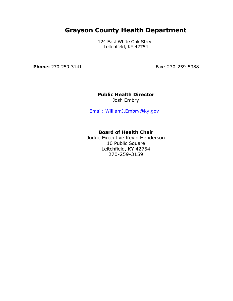# **Grayson County Health Department**

124 East White Oak Street Leitchfield, KY 42754

**Phone:** 270-259-3141 **Fax: 270-259-5388** 

# **Public Health Director**

Josh Embry

[Email: WilliamJ.Embry@ky.gov](mailto:WilliamJ.Embry@ky.gov)

# **Board of Health Chair**

Judge Executive Kevin Henderson 10 Public Square Leitchfield, KY 42754 270-259-3159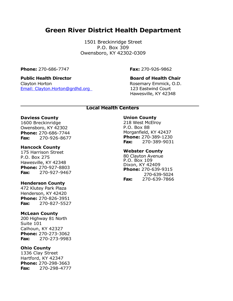# **Green River District Health Department**

1501 Breckinridge Street P.O. Box 309 Owensboro, KY 42302-0309

**Phone:** 270-686-7747 **Fax:** 270-926-9862

# **Public Health Director Board of Health Chair**

Clayton Horton **Rosemary Emmick, O.D.** Rosemary Emmick, O.D. [Email: Clayton.Horton@grdhd.org](mailto:clayton.horton@grdhd.org) 123 Eastwind Court

Hawesville, KY 42348

#### **Local Health Centers**

#### **Daviess County**

1600 Breckinridge Owensboro, KY 42302 **Phone:** 270-686-7744 **Fax:** 270-926-8677

#### **Hancock County**

175 Harrison Street P.O. Box 275 Hawesville, KY 42348 **Phone:** 270-927-8803 **Fax:** 270-927-9467

#### **Henderson County**

472 Klutey Park Plaza Henderson, KY 42420 **Phone:** 270-826-3951 **Fax:** 270-827-5527

#### **McLean County**

200 Highway 81 North Suite 101 Calhoun, KY 42327 **Phone:** 270-273-3062 **Fax:** 270-273-9983

#### **Ohio County**

1336 Clay Street Hartford, KY 42347 **Phone:** 270-298-3663 **Fax:** 270-298-4777

### **Union County**

218 West McElroy P.O. Box 88 Morganfield, KY 42437 **Phone:** 270-389-1230 **Fax:** 270-389-9031

### **Webster County**

80 Clayton Avenue P.O. Box 109 Dixon, KY 42409 **Phone:** 270-639-9315 270-639-5024 **Fax:** 270-639-7866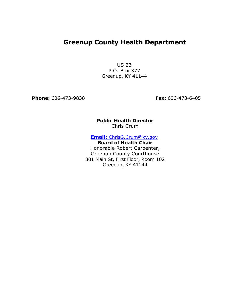# **Greenup County Health Department**

US 23 P.O. Box 377 Greenup, KY 41144

**Phone:** 606-473-9838 **Fax:** 606-473-6405

### **Public Health Director** Chris Crum

**Email:** [ChrisG.Crum@ky.gov](mailto:ChrisG.Crum@ky.gov)

**Board of Health Chair** Honorable Robert Carpenter, Greenup County Courthouse

301 Main St, First Floor, Room 102 Greenup, KY 41144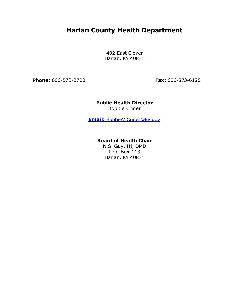# **Harlan County Health Department**

402 East Clover Harlan, KY 40831

**Phone:** 606-573-3700 **Fax:** 606-573-6128

# **Public Health Director** Bobbie Crider

**Email:** [BobbieV.Crider@ky.gov](mailto:BobbieV.Crider@ky.gov)

# **Board of Health Chair**

N.S. Guy, III, DMD P.O. Box 113 Harlan, KY 40831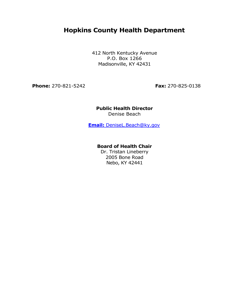# **Hopkins County Health Department**

412 North Kentucky Avenue P.O. Box 1266 Madisonville, KY 42431

**Phone:** 270-821-5242 **Fax:** 270-825-0138

# **Public Health Director** Denise Beach

**Email:** [DeniseL.Beach@ky.gov](mailto:DeniseL.Beach@ky.gov)

### **Board of Health Chair**

Dr. Tristan Lineberry 2005 Bone Road Nebo, KY 42441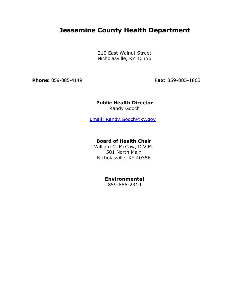# **Jessamine County Health Department**

210 East Walnut Street Nicholasville, KY 40356

**Phone:** 859-885-4149 **Fax:** 859-885-1863

### **Public Health Director** Randy Gooch

[Email: Randy.Gooch@ky.gov](mailto:Randy.Gooch@ky.gov)

### **Board of Health Chair**

William C. McCaw, D.V.M. 501 North Main Nicholasville, KY 40356

# **Environmental**

859-885-2310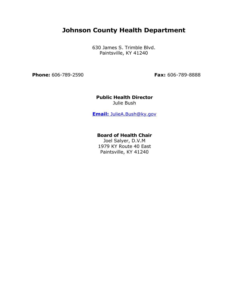# **Johnson County Health Department**

630 James S. Trimble Blvd. Paintsville, KY 41240

**Phone:** 606-789-2590 **Fax:** 606-789-8888

**Public Health Director** Julie Bush

**Email:** [JulieA.Bush@ky.gov](mailto:JulieA.Bush@ky.gov)

# **Board of Health Chair**

Joel Salyer, D.V.M 1979 KY Route 40 East Paintsville, KY 41240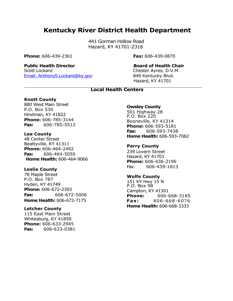# **Kentucky River District Health Department**

441 Gorman Hollow Road Hazard, KY 41701-2316

**Phone:** 606-439-2361 **Fax:** 606-439-0870

# **Public Health Director Board of Health Chair**

Scott Lockard Chester Ayres, D.V.M. [Email: AnthonyS.Lockard@ky.gov](mailto:AnthonyS.Lockard@ky.gov) 849 Kentucky Blvd.

Hazard, KY 41701

# **Local Health Centers**

# **Knott County**

880 West Main Street P.O. Box 530 Hindman, KY 41822 **Phone:** 606-785-3144 **Fax:** 606-785-5512

### **Lee County**

48 Center Street Beattyville, KY 41311 **Phone:** 606-464-2492 **Fax:** 606-464-5050 **Home Health:** 606-464-9066

# **Leslie County**

78 Maple Street P.O. Box 787 Hyden, KY 41749 **Phone:** 606-672-2393 **Fax:** 606-672-5006 **Home Health:** 606-672-7175

### **Letcher County**

115 East Main Street Whitesburg, KY 41858 **Phone:** 606-633-2945 **Fax:** 606-633-0381

### **Owsley County**

501 Highway 28 P.O. Box 220 Booneville, KY 41314 **Phone:** 606-593-5181 **Fax:** 606-593-7438 **Home Health:** 606-593-7082

# **Perry County**

239 Lovern Street Hazard, KY 41701 **Phone:** 606-436-2196 Fax: 606-439-1813

# **Wolfe County**

151 KY Hwy 15 N P.O. Box 98 Campton, KY 41301 **Phone:** 606-668-3185 **Fax :** 606-668-6076 **Home Health:** 606-668-3333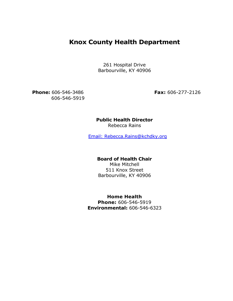# **Knox County Health Department**

261 Hospital Drive Barbourville, KY 40906

**Phone:** 606-546-3486 **Fax:** 606-277-2126 606-546-5919

# **Public Health Director**

Rebecca Rains

[Email: Rebecca.Rains@kchdky.org](mailto:Rebecca.Rains@kchdky.org)

# **Board of Health Chair**

Mike Mitchell 511 Knox Street Barbourville, KY 40906

**Home Health Phone:** 606-546-5919 **Environmental:** 606-546-6323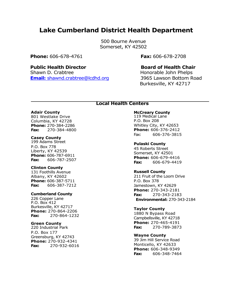# **Lake Cumberland District Health Department**

500 Bourne Avenue Somerset, KY 42502

#### **Phone:** 606-678-4761 **Fax:** 606-678-2708

### **Public Health Director Board of Health Chair**

Shawn D. Crabtree **Honorable John Phelps Email:** [shawnd.crabtree@lcdhd.org](mailto:shawnd.crabtree@lcdhd.org) 3965 Lawson Bottom Road

Burkesville, KY 42717

#### **Local Health Centers**

#### **Adair County**

801 Westlake Drive Columbia, KY 42728 **Phone:** 270-384-2286 **Fax:** 270-384-4800

#### **Casey County**

199 Adams Street P.O. Box 778 Liberty, KY 42539 **Phone:** 606-787-6911 **Fax:** 606-787-2507

#### **Clinton County**

131 Foothills Avenue Albany, KY 42602 **Phone:** 606-387-5711 **Fax:** 606-387-7212

#### **Cumberland County**

226 Copper Lane P.O. Box 412 Burkesville, KY 42717 **Phone:** 270-864-2206 **Fax:** 270-864-1232

### **Green County**

220 Industrial Park P.O. Box 177 Greensburg, KY 42743 **Phone:** 270-932-4341 **Fax:** 270-932-6016

#### **McCreary County**

119 Medical Lane P.O. Box 208 Whitley City, KY 42653 **Phone:** 606-376-2412 Fax: 606-376-3815

**Pulaski County** 45 Roberts Street

Somerset, KY 42501 **Phone:** 606-679-4416 **Fax:** 606-679-4419

#### **Russell County**

211 Fruit of the Loom Drive P.O. Box 378 Jamestown, KY 42629 **Phone:** 270-343-2181 **Fax:** 270-343-2183 **Environmental:** 270-343-2184

#### **Taylor County**

1880 N Bypass Road Campbellsville, KY 42718 **Phone:** 270-465-4191 **Fax:** 270-789-3873

#### **Wayne County**

39 Jim Hill Service Road Monticello, KY 42633 **Phone:** 606-348-9349 **Fax:** 606-348-7464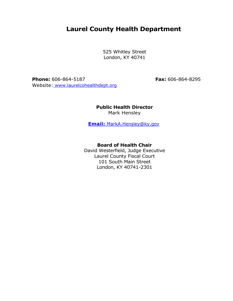# **Laurel County Health Department**

525 Whitley Street London, KY 40741

**Phone:** 606-864-5187 **Fax:** 606-864-8295 Website: [www.laurelcohealthdept.org](http://www.laurelcohealthdept.org/)

**Public Health Director** Mark Hensley

**Email:** [MarkA.Hensley@ky.gov](mailto:MarkA.Hensley@ky.gov)

**Board of Health Chair**

David Westerfield, Judge Executive Laurel County Fiscal Court 101 South Main Street London, KY 40741-2301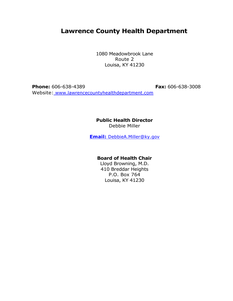# **Lawrence County Health Department**

1080 Meadowbrook Lane Route 2 Louisa, KY 41230

**Phone:** 606-638-4389 **Fax:** 606-638-3008 Website: [www.lawrencecountyhealthdepartment.com](http://www.lawrencecountyhealthdepartment.com/)

### **Public Health Director** Debbie Miller

**Email:** [DebbieA.Miller@ky.gov](mailto:DebbieA.Miller@ky.gov)

### **Board of Health Chair**

Lloyd Browning, M.D. 410 Breddar Heights P.O. Box 764 Louisa, KY 41230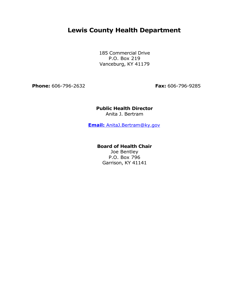# **Lewis County Health Department**

185 Commercial Drive P.O. Box 219 Vanceburg, KY 41179

**Phone:** 606-796-2632 **Fax:** 606-796-9285

# **Public Health Director**

Anita J. Bertram

**Email:** [AnitaJ.Bertram@ky.gov](mailto:AnitaJ.Bertram@ky.gov)

### **Board of Health Chair**

Joe Bentley P.O. Box 796 Garrison, KY 41141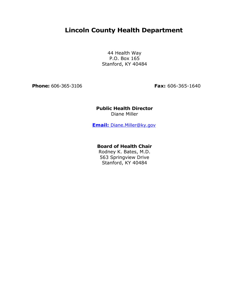# **Lincoln County Health Department**

44 Health Way P.O. Box 165 Stanford, KY 40484

**Phone:** 606-365-3106 **Fax:** 606-365-1640

# **Public Health Director** Diane Miller

**Email:** [Diane.Miller@ky.gov](mailto:Diane.Miller@ky.gov)

### **Board of Health Chair**

Rodney K. Bates, M.D. 563 Springview Drive Stanford, KY 40484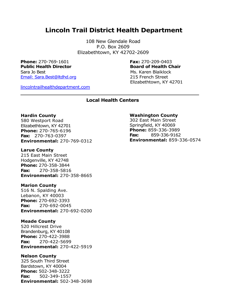# **Lincoln Trail District Health Department**

108 New Glendale Road P.O. Box 2609 Elizabethtown, KY 42702-2609

**Phone:** 270-769-1601 **Fax:** 270-209-0403 **Public Health Director Board of Health Chair** Sara Jo Best Ms. Karen Blaiklock [Email: Sara.Best@ltdhd.org](mailto:Sara.Best@ltdhd.org) 215 French Street

Elizabethtown, KY 42701

[lincolntrailhealthdepartment.com](http://lincolntrailhealthdepartment.com/)

**Local Health Centers**

#### **Hardin County**

580 Westport Road Elizabethtown, KY 42701 **Phone:** 270-765-6196 **Fax:** 270-763-0397 **Environmental:** 270-769-0312

#### **Larue County**

215 East Main Street Hodgenville, KY 42748 **Phone:** 270-358-3844 **Fax:** 270-358-5816 **Environmental:** 270-358-8665

#### **Marion County**

516 N. Spalding Ave. Lebanon, KY 40003 **Phone:** 270-692-3393 **Fax:** 270-692-0045 **Environmental:** 270-692-0200

#### **Meade County**

520 Hillcrest Drive Brandenburg, KY 40108 **Phone:** 270-422-3988 **Fax:** 270-422-5699 **Environmental:** 270-422-5919

#### **Nelson County**

325 South Third Street Bardstown, KY 40004 **Phone:** 502-348-3222 **Fax:** 502-349-1557 **Environmental:** 502-348-3698

#### **Washington County**

302 East Main Street Springfield, KY 40069 **Phone:** 859-336-3989 **Fax:** 859-336-9162 **Environmental:** 859-336-0574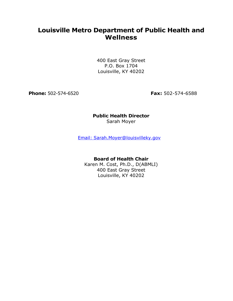# **Louisville Metro Department of Public Health and Wellness**

400 East Gray Street P.O. Box 1704 Louisville, KY 40202

**Phone:** 502-574-6520 **Fax:** 502-574-6588

# **Public Health Director** Sarah Moyer

[Email: Sarah.Moyer@louisvilleky.gov](mailto:sarah.moyer@louisvilleky.gov)

# **Board of Health Chair**

Karen M. Cost, Ph.D., D(ABMLI) 400 East Gray Street Louisville, KY 40202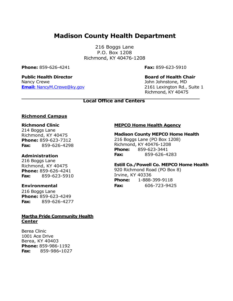# **Madison County Health Department**

216 Boggs Lane P.O. Box 1208 Richmond, KY 40476-1208

**Phone:** 859-626-4241 **Fax:** 859-623-5910

**Public Health Director Board of Health Chair** Nancy Crewe John Johnstone, MD **Email:** [NancyM.Crewe@ky.gov](mailto:NancyM.Crewe@ky.gov) 2161 Lexington Rd., Suite 1

Richmond, KY 40475

# **Local Office and Centers**

### **Richmond Campus**

### **Richmond Clinic**

214 Boggs Lane Richmond, KY 40475 **Phone:** 859-623-7312 **Fax:** 859-626-4298

#### **Administration**

216 Boggs Lane Richmond, KY 40475 **Phone:** 859-626-4241 **Fax:** 859-623-5910

#### **Environmental**

216 Boggs Lane **Phone:** 859-623-4249 **Fax:** 859-626-4277

### **Martha Pride Community Health Center**

Berea Clinic 1001 Ace Drive Berea, KY 40403 **Phone:** 859-986-1192 **Fax:** 859-986**-**1027

### **MEPCO Home Health Agency**

# **Madison County MEPCO Home Health**

216 Boggs Lane (PO Box 1208) Richmond, KY 40476-1208 **Phone:** 859-623-3441 **Fax:** 859-626-4283

#### **Estill Co./Powell Co. MEPCO Home Health**

920 Richmond Road (PO Box 8) Irvine, KY 40336 **Phone:** 1-888-399-9118 **Fax:** 606-723-9425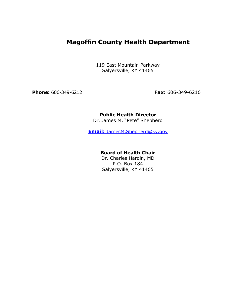# **Magoffin County Health Department**

119 East Mountain Parkway Salyersville, KY 41465

**Phone:** 606-349-6212 **Fax:** 606-349-6216

# **Public Health Director**

Dr. James M. "Pete" Shepherd

**Email:** [JamesM.Shepherd@ky.gov](mailto:JamesM.Shepherd@ky.gov)

# **Board of Health Chair**

Dr. Charles Hardin, MD P.O. Box 184 Salyersville, KY 41465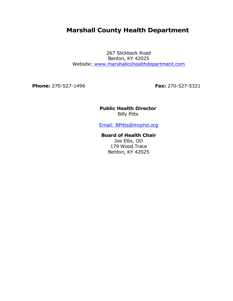# **Marshall County Health Department**

267 Slickback Road Benton, KY 42025 Website: [www.marshallcohealthdepartment.com](http://www.marshallcohealthdepartment.com/)

**Phone:** 270-527-1496 **Fax:** 270-527-5321

# **Public Health Director** Billy Pitts

[Email: BPitts@mcphd.org](mailto:bpitts@mcphd.org)

# **Board of Health Chair** Joe Ellis, OD 179 Wood Trace

Benton, KY 42025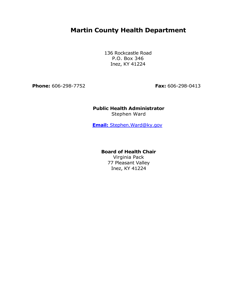# **Martin County Health Department**

136 Rockcastle Road P.O. Box 346 Inez, KY 41224

**Phone:** 606-298-7752 **Fax:** 606-298-0413

# **Public Health Administrator** Stephen Ward

**Email:** [Stephen.Ward@ky.gov](mailto:Stephen.Ward@ky.gov)

### **Board of Health Chair**

Virginia Pack 77 Pleasant Valley Inez, KY 41224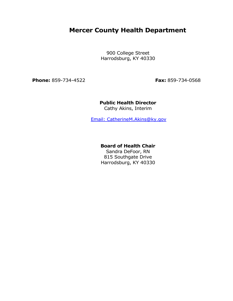# **Mercer County Health Department**

900 College Street Harrodsburg, KY 40330

**Phone:** 859-734-4522 **Fax:** 859-734-0568

# **Public Health Director**

Cathy Akins, Interim

[Email: CatherineM.Akins@ky.gov](mailto:CatherineM.Akins@ky.gov)

### **Board of Health Chair**

Sandra DeFoor, RN 815 Southgate Drive Harrodsburg, KY 40330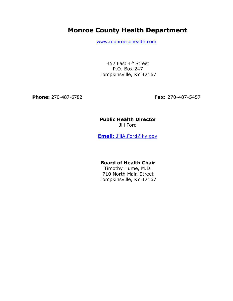# **Monroe County Health Department**

[www.monroecohealth.com](http://www.monroecohealth.com/)

452 East 4<sup>th</sup> Street P.O. Box 247 Tompkinsville, KY 42167

**Phone:** 270-487-6782 **Fax:** 270-487-5457

# **Public Health Director** Jill Ford

**Email:** [JillA.Ford@ky.gov](mailto:JillA.Ford@ky.gov)

# **Board of Health Chair**

Timothy Hume, M.D. 710 North Main Street Tompkinsville, KY 42167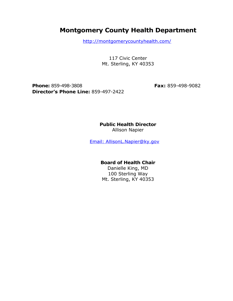# **Montgomery County Health Department**

http://montgomerycountyhealth.com/

117 Civic Center Mt. Sterling, KY 40353

**Phone:** 859-498-3808 **Fax:** 859-498-9082 **Director's Phone Line:** 859-497-2422

**Public Health Director**

Allison Napier

[Email: AllisonL.Napier@ky.gov](mailto:AllisonL.Napier@ky.gov)

# **Board of Health Chair**

Danielle King, MD 100 Sterling Way Mt. Sterling, KY 40353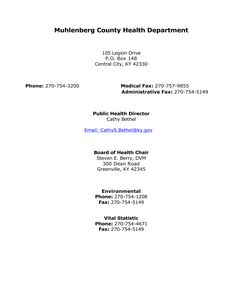# **Muhlenberg County Health Department**

105 Legion Drive P.O. Box 148 Central City, KY 42330

**Phone:** 270-754-3200 **Medical Fax:** 270-757-9855 **Administrative Fax:** 270-754-5149

### **Public Health Director** Cathy Bethel

[Email: CathyS.Bethel@ky.gov](mailto:CathyS.Bethel@ky.gov)

# **Board of Health Chair**

Steven E. Berry, DVM 300 Dean Road Greenville, KY 42345

# **Environmental**

**Phone:** 270-754-1208 **Fax:** 270-754-5149

# **Vital Statistic**

**Phone:** 270-754-4671 **Fax:** 270-754-5149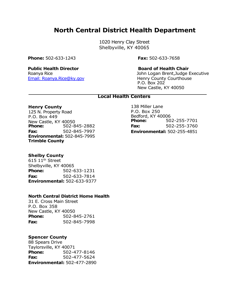# **North Central District Health Department**

1020 Henry Clay Street Shelbyville, KY 40065

**Phone:** 502-633-1243 **Fax:** 502-633-7658

Email: [Roanya.Rice@ky.gov](mailto:Roanya.Rice@ky.gov) Menry County Courthouse

#### **Public Health Director Board of Health Chair**

Roanya Rice John Logan Brent,Judge Executive P.O. Box 202 New Castle, KY 40050

### **Local Health Centers**

#### **Henry County**

125 N. Property Road P.O. Box 449 New Castle, KY 40050<br>**Phone:** 502-8 **Phone:** 502-845-2882 **Fax:** 502-845-7997 **Environmental:** 502-845-7995 **Trimble County** 

**Shelby County**

615 11th Street Shelbyville, KY 40065 **Phone:** 502-633-1231 **Fax:** 502-633-7814 **Environmental:** 502-633-9377

#### **North Central District Home Health**

31 E. Cross Main Street P.O. Box 358 New Castle, KY 40050 **Phone:** 502-845-2761 **Fax:** 502-845-7998

### **Spencer County**

88 Spears Drive Taylorsville, KY 40071 **Phone:** 502-477-8146 **Fax:** 502-477-5624 **Environmental:** 502-477-2890

138 Miller Lane P.O. Box 250 Bedford, KY 40006 **Phone:** 502-255-7701 **Fax:** 502-255-3760 **Environmental:** 502-255-4851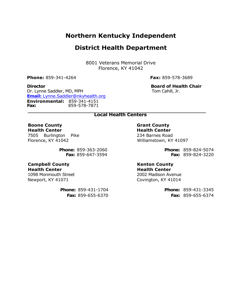# **Northern Kentucky Independent**

# **District Health Department**

8001 Veterans Memorial Drive Florence, KY 41042

**Phone:** 859-341-4264 **Fax:** 859-578-3689

# **Director Board of Health Chair**

Dr. Lynne Saddler, MD, MPH Tom Cahill, Jr. **Email:** [Lynne.Saddler@nkyhealth.org](mailto:Lynne.Saddler@nkyhealth.org) **Environmental:** 859-341-4151 **Fax:** 859-578-7871

# **Local Health Centers**

#### **Boone County Health Center**

7505 Burlington Pike Florence, KY 41042

> **Phone:** 859-363-2060  **Fax:** 859-647-3594

**Campbell County Health Center** 1098 Monmouth Street Newport, KY 41071

> **Phone:** 859-431-1704  **Fax:** 859-655-6370

### **Grant County Health Center**

234 Barnes Road Williamstown, KY 41097

> **Phone:** 859-824-5074 **Fax:** 859-824-3220

### **Kenton County Health Center**

2002 Madison Avenue Covington, KY 41014

> **Phone:** 859-431-3345 **Fax:** 859-655-6374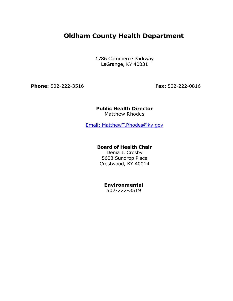# **Oldham County Health Department**

1786 Commerce Parkway LaGrange, KY 40031

**Phone:** 502-222-3516 **Fax:** 502-222-0816

### **Public Health Director** Matthew Rhodes

[Email: MatthewT.Rhodes@ky.gov](mailto:MatthewT.Rhodes@ky.gov)

# **Board of Health Chair**

Denia J. Crosby 5603 Sundrop Place Crestwood, KY 40014

# **Environmental**

502-222-3519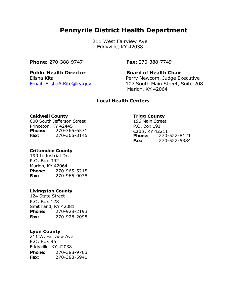# **Pennyrile District Health Department**

211 West Fairview Ave Eddyville, KY 42038

# **Phone:** 270-388-9747 **Fax:** 270-388-7749

### **Public Health Director Board of Health Chair**

Elisha Kita Perry Newcom, Judge Executive [Email: ElishaA.Kite@ky.gov](mailto:ElishaA.Kite@ky.gov) 107 South Main Street, Suite 208 Marion, KY 42064

# **Local Health Centers**

#### **Caldwell County**

600 South Jefferson Street Princeton, KY 42445 **Phone:** 270-365-6571 **Fax:** 270-365-3145

### **Crittenden County**

190 Industrial Dr. P.O. Box 392 Marion, KY 42064 **Phone:** 270-965-5215 **Fax:** 270-965-9078

#### **Livingston County**

124 State Street P.O. Box 128 Smithland, KY 42081 **Phone:** 270-928-2193 **Fax:** 270-928-2098

### **Lyon County**

211 W. Fairview Ave P.O. Box 96 Eddyville, KY 42038 **Phone:** 270-388-9763 **Fax:** 270-388-5941

### **Trigg County**

196 Main Street P.O. Box 191 Cadiz, KY 42211 **Phone:** 270-522-8121 **Fax:** 270-522-5384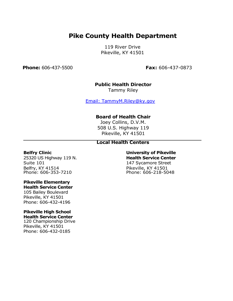# **Pike County Health Department**

119 River Drive Pikeville, KY 41501

**Phone:** 606-437-5500 **Fax:** 606-437-0873

# **Public Health Director**

Tammy Riley

[Email: TammyM.Riley@ky.gov](mailto:TammyM.Riley@ky.gov)

# **Board of Health Chair**

Joey Collins, D.V.M. 508 U.S. Highway 119 Pikeville, KY 41501

# **Local Health Centers**

#### **Belfry Clinic**

25320 US Highway 119 N. Suite 101 Belfry, KY 41514 Phone: 606-353-7210

#### **Pikeville Elementary Health Service Center**

105 Bailey Boulevard Pikeville, KY 41501 Phone: 606-432-4196

#### **Pikeville High School Health Service Center**

120 Championship Drive Pikeville, KY 41501 Phone: 606-432-0185

# **University of Pikeville Health Service Center** 147 Sycamore Street

Pikeville, KY 41501 Phone: 606-218-5048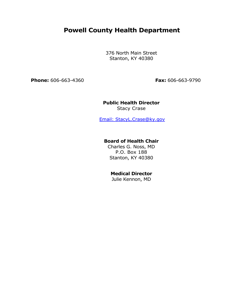# **Powell County Health Department**

376 North Main Street Stanton, KY 40380

**Phone:** 606-663-4360 **Fax:** 606-663-9790

# **Public Health Director**

Stacy Crase

[Email: StacyL.Crase@ky.gov](mailto:StacyL.Crase@ky.gov)

### **Board of Health Chair**

Charles G. Noss, MD P.O. Box 188 Stanton, KY 40380

# **Medical Director**

Julie Kennon, MD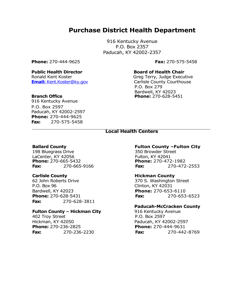# **Purchase District Health Department**

916 Kentucky Avenue P.O. Box 2357 Paducah, KY 42002-2357

**Phone:** 270-444-9625 **Fax:** 270-575-5458

#### **Public Health Director Board of Health Chair**

Ronald Kent Koster Green Greg Terry, Judge Executive

916 Kentucky Avenue P.O. Box 2597 Paducah, KY 42002-2597 **Phone:** 270-444-9625 **Fax:** 270-575-5458

**Email:** [Kent.Koster@ky.gov](mailto:Kent.Koster@ky.gov) Carlisle County Courthouse P.O. Box 279 Bardwell, KY 42023 **Branch Office Phone:** 270-628-5451

### **Local Health Centers**

198 Bluegrass Drive 350 Browder Street LaCenter, KY 42056<br> **Phone:** 270-665-5432<br> **Phone:** 270-472-1982 **Phone: 270-665-5432** 

62 John Roberts Drive 370 S. Washington Street P.O. Box 96 Clinton, KY 42031 Bardwell, KY 42023 **Phone:** 270-653-6110 **Fax:** 270-628-3811

### **Fulton County – Hickman City** 916 Kentucky Avenue

402 Troy Street **P.O. Box 2597** Hickman, KY 42050 Paducah, KY 42002-2597 **Phone:** 270-236-2825 **Phone:** 270-444-9631

#### **Ballard County Fulton County –Fulton City**

**Fax:** 270-665-9166 **Fax:** 270-472-2553

#### **Carlisle County Mickman County Hickman County**

**Phone:** 270-628-5431 **Fax:** 270-653-6523

#### **Paducah-McCracken County**

**Fax:** 270-236-2230 **Fax:** 270-442-8769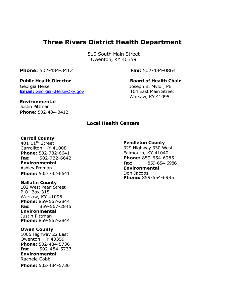# **Three Rivers District Health Department**

510 South Main Street Owenton, KY 40359

**Phone:** 502-484-3412 **Fax:** 502-484-0864

### **Public Health Director Board of Health Chair**

Georgia Heise **Georgia Heise** Joseph B. Mylor, PE **Email:** [GeorgiaF.Heise@ky.gov](mailto:GeorgiaF.Heise@ky.gov) 104 East Main Street

Warsaw, KY 41095

# **Environmental**

Justin Pittman **Phone:** 502-484-3412

# **Local Health Centers**

#### **Carroll County**

401 11th Street Carrollton, KY 41008 **Phone:** 502-732-6641 **Fax:** 502-732-6642 **Environmental** Ashley Froman **Phone:** 502-732-6641

#### **Gallatin County**

102 West Pearl Street P.O. Box 315 Warsaw, KY 41095 **Phone:** 859-567-2844 **Fax:** 859-567-2845 **Environmental** Justin Pittman **Phone:** 859-567-2844

#### **Owen County**

1005 Highway 22 East Owenton, KY 40359 **Phone:** 502-484-5736 **Fax:** 502-484-5737 **Environmental** Rachele Cobb **Phone:** 502-484-5736

#### **Pendleton County**

329 Highway 330 West Falmouth, KY 41040 **Phone:** 859-654-6985 **Fax:** 859-654-6986 **Environmental** Don Jacobs **Phone:** 859-654-6985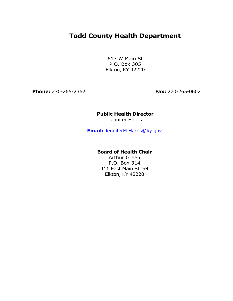# **Todd County Health Department**

617 W Main St P.O. Box 305 Elkton, KY 42220

**Phone:** 270-265-2362 **Fax:** 270-265-0602

# **Public Health Director**

Jennifer Harris

**Email:** [JenniferM.Harris@ky.gov](mailto:JenniferM.Harris@ky.gov)

# **Board of Health Chair**

Arthur Green P.O. Box 314 411 East Main Street Elkton, KY 42220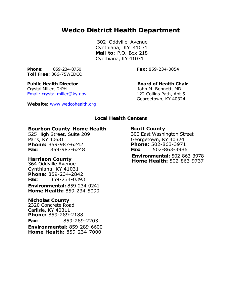# **Wedco District Health Department**

302 Oddville Avenue Cynthiana, KY 41031 **Mail to**: P.O. Box 218 Cynthiana, KY 41031

**Phone:** 859-234-8750 **Fax:** 859-234-0054 **Toll Free:** 866-75WEDCO

#### **Public Health Director Board of Health Chair**

Crystal Miller, DrPH John M. Bennett, MD [Email: crystal.miller@ky.gov](mailto:crystal.miller@ky.gov) 122 Collins Path, Apt 5

**Website:** [www.wedcohealth.org](http://www.wedcohealth.org/)

Georgetown, KY 40324

# **Local Health Centers**

#### **Bourbon County –Home Health**

525 High Street, Suite 209 Paris, KY 40631 **Phone:** 859-987-6242 **Fax:** 859-987-6248

### **Harrison County**

364 Oddville Avenue Cynthiana, KY 41031 **Phone:** 859-234-2842 **Fax:** 859-234-0393

**Environmental:** 859-234-0241 **Home Health:** 859-234-5090

### **Nicholas County**

2320 Concrete Road Carlisle, KY 40311 **Phone:** 859-289-2188 **Fax:** 859-289-2203 **Environmental:** 859-289-6600 **Home Health:** 859-234-7000

### **Scott County**

300 East Washington Street Georgetown, KY 40324 **Phone:** 502-863-3971 **Fax:** 502-863-3986 **Environmental:** 502-863-3978 **Home Health:** 502-863-9737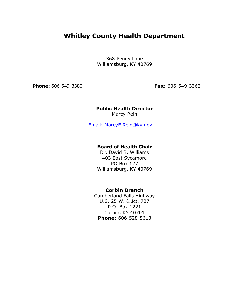# **Whitley County Health Department**

368 Penny Lane Williamsburg, KY 40769

**Phone:** 606-549-3380 **Fax:** 606-549-3362

### **Public Health Director** Marcy Rein

[Email: MarcyE.Rein@ky.gov](mailto:MarcyE.Rein@ky.gov)

# **Board of Health Chair**

Dr. David B. Williams 403 East Sycamore PO Box 127 Williamsburg, KY 40769

# **Corbin Branch**

Cumberland Falls Highway U.S. 25 W. & Jct. 727 P.O. Box 1221 Corbin, KY 40701 **Phone:** 606-528-5613